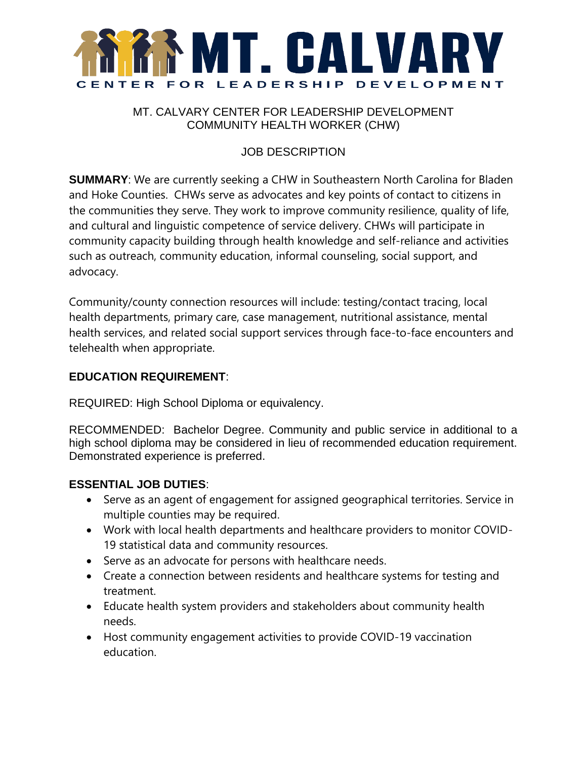

## MT. CALVARY CENTER FOR LEADERSHIP DEVELOPMENT COMMUNITY HEALTH WORKER (CHW)

# JOB DESCRIPTION

**SUMMARY**: We are currently seeking a CHW in Southeastern North Carolina for Bladen and Hoke Counties. CHWs serve as advocates and key points of contact to citizens in the communities they serve. They work to improve community resilience, quality of life, and cultural and linguistic competence of service delivery. CHWs will participate in community capacity building through health knowledge and self-reliance and activities such as outreach, community education, informal counseling, social support, and advocacy.

Community/county connection resources will include: testing/contact tracing, local health departments, primary care, case management, nutritional assistance, mental health services, and related social support services through face-to-face encounters and telehealth when appropriate.

### **EDUCATION REQUIREMENT**:

REQUIRED: High School Diploma or equivalency.

RECOMMENDED: Bachelor Degree. Community and public service in additional to a high school diploma may be considered in lieu of recommended education requirement. Demonstrated experience is preferred.

### **ESSENTIAL JOB DUTIES**:

- Serve as an agent of engagement for assigned geographical territories. Service in multiple counties may be required.
- Work with local health departments and healthcare providers to monitor COVID-19 statistical data and community resources.
- Serve as an advocate for persons with healthcare needs.
- Create a connection between residents and healthcare systems for testing and treatment.
- Educate health system providers and stakeholders about community health needs.
- Host community engagement activities to provide COVID-19 vaccination education.